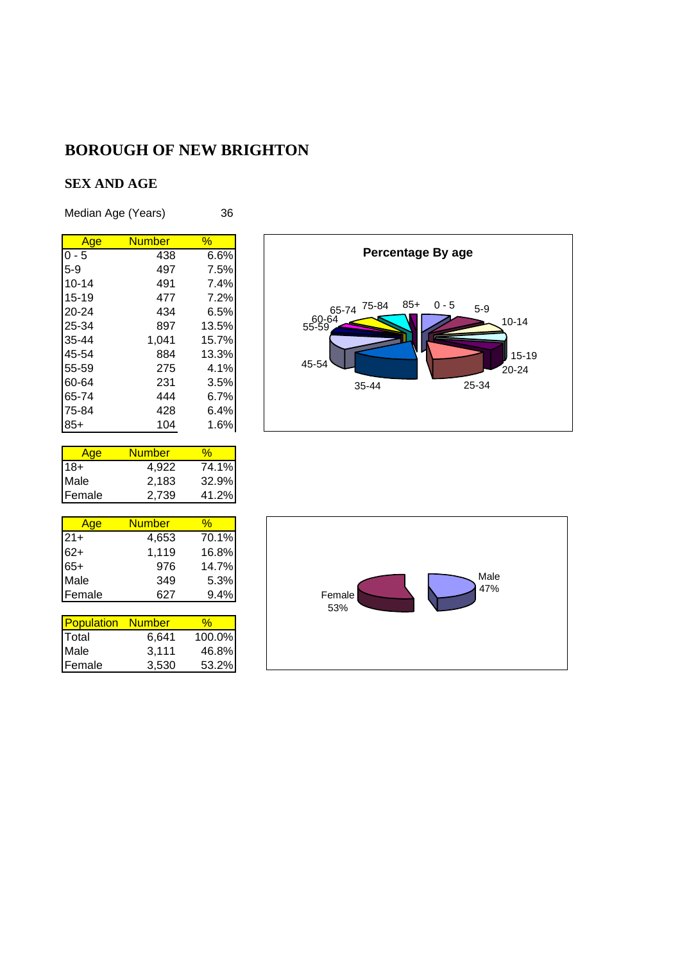#### **SEX AND AGE**

Median Age (Years) 36

| <b>Number</b><br>$\frac{1}{2}$<br>Age<br>$0 - 5$<br>438<br>$5-9$<br>497<br>$10 - 14$<br>491<br>15-19<br>477<br>$20 - 24$<br>434<br>25-34<br>897<br>35-44<br>1.041<br>45-54<br>884<br>55-59<br>275<br>60-64<br>231<br>65-74<br>444<br>75-84<br>428 |     |     |       |
|---------------------------------------------------------------------------------------------------------------------------------------------------------------------------------------------------------------------------------------------------|-----|-----|-------|
|                                                                                                                                                                                                                                                   |     |     |       |
|                                                                                                                                                                                                                                                   |     |     | 6.6%  |
|                                                                                                                                                                                                                                                   |     |     | 7.5%  |
|                                                                                                                                                                                                                                                   |     |     | 7.4%  |
|                                                                                                                                                                                                                                                   |     |     | 7.2%  |
|                                                                                                                                                                                                                                                   |     |     | 6.5%  |
|                                                                                                                                                                                                                                                   |     |     | 13.5% |
|                                                                                                                                                                                                                                                   |     |     | 15.7% |
|                                                                                                                                                                                                                                                   |     |     | 13.3% |
|                                                                                                                                                                                                                                                   |     |     | 4.1%  |
|                                                                                                                                                                                                                                                   |     |     | 3.5%  |
|                                                                                                                                                                                                                                                   |     |     | 6.7%  |
|                                                                                                                                                                                                                                                   |     |     | 6.4%  |
|                                                                                                                                                                                                                                                   | 85+ | 104 | 1.6%  |

| vae    | Number |       |
|--------|--------|-------|
| $18+$  | 4.922  | 74.1% |
| Male   | 2,183  | 32.9% |
| Female | 2,739  | 41.2% |

| Age    | <b>Number</b> | ‰     |
|--------|---------------|-------|
| $21+$  | 4,653         | 70.1% |
| $62+$  | 1,119         | 16.8% |
| $65+$  | 976           | 14.7% |
| Male   | 349           | 5.3%  |
| Female | 627           | 9.4%  |

| <b>Population</b> | <b>Number</b> | ℆      |
|-------------------|---------------|--------|
| <b>Total</b>      | 6,641         | 100.0% |
| Male              | 3,111         | 46.8%  |
| lFemale           | 3.530         | 53.2%  |



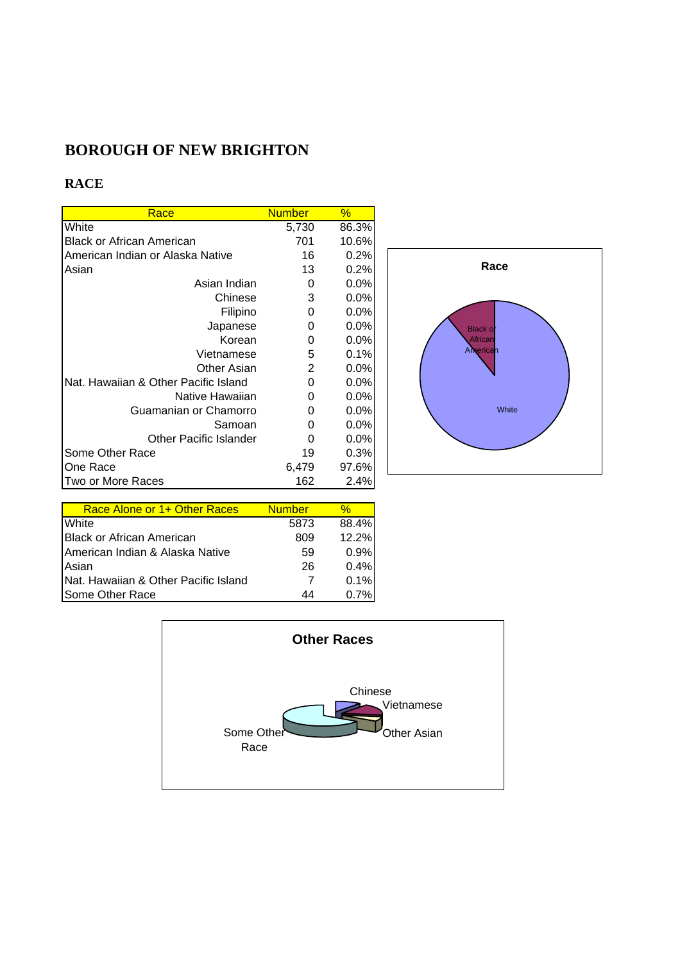### **RACE**

| Race                                 | <b>Number</b> | $\%$    |
|--------------------------------------|---------------|---------|
| White                                | 5,730         | 86.3%   |
| <b>Black or African American</b>     | 701           | 10.6%   |
| American Indian or Alaska Native     | 16            | 0.2%    |
| Asian                                | 13            | 0.2%    |
| Asian Indian                         | 0             | $0.0\%$ |
| Chinese                              | 3             | $0.0\%$ |
| Filipino                             | 0             | $0.0\%$ |
| Japanese                             | 0             | $0.0\%$ |
| Korean                               | 0             | $0.0\%$ |
| Vietnamese                           | 5             | 0.1%    |
| Other Asian                          | 2             | 0.0%    |
| Nat. Hawaiian & Other Pacific Island | 0             | $0.0\%$ |
| Native Hawaiian                      | 0             | $0.0\%$ |
| Guamanian or Chamorro                | 0             | $0.0\%$ |
| Samoan                               | 0             | $0.0\%$ |
| <b>Other Pacific Islander</b>        | 0             | 0.0%    |
| Some Other Race                      | 19            | 0.3%    |
| One Race                             | 6,479         | 97.6%   |
| Two or More Races                    | 162           | 2.4%    |



| Race Alone or 1+ Other Races         | <b>Number</b> | %     |
|--------------------------------------|---------------|-------|
| White                                | 5873          | 88.4% |
| IBlack or African American           | 809           | 12.2% |
| American Indian & Alaska Native      | 59            | 0.9%  |
| Asian                                | 26            | 0.4%  |
| Nat. Hawaiian & Other Pacific Island | 7             | 0.1%  |
| Some Other Race                      | 44            | 0 7%  |

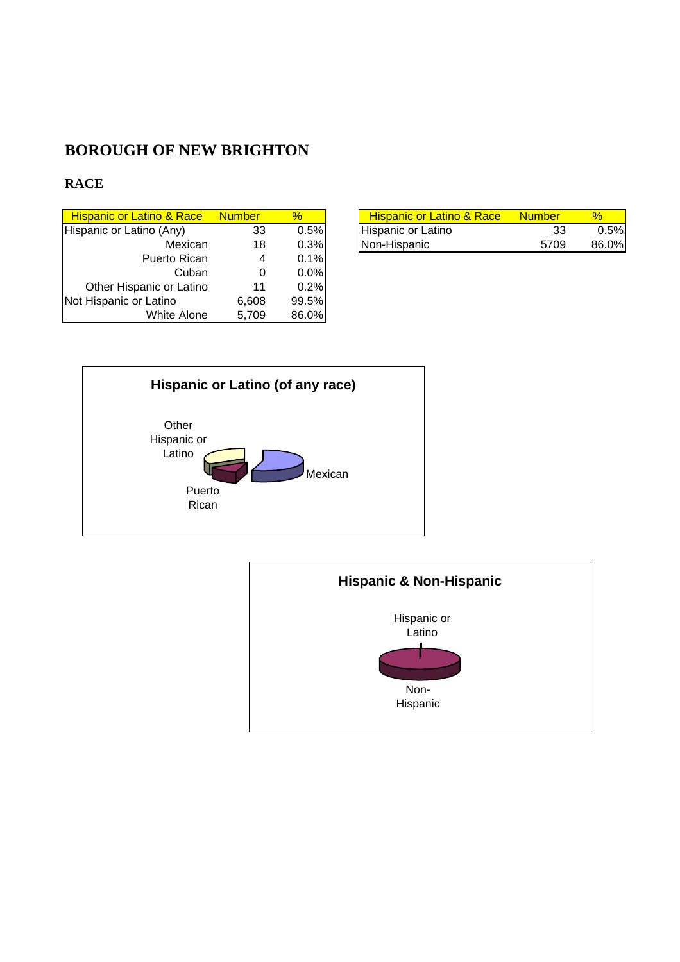#### **RACE**

| <b>Number</b> | $\%$ | <b>Hispanic or Latino &amp; Race</b>           | <b>Number</b> |  |
|---------------|------|------------------------------------------------|---------------|--|
| 33            |      | Hispanic or Latino                             | 33            |  |
| 18            |      | Non-Hispanic                                   | 5709          |  |
| 4             |      |                                                |               |  |
| 0             |      |                                                |               |  |
| 11            | 0.2% |                                                |               |  |
| 6,608         |      |                                                |               |  |
| 5.709         |      |                                                |               |  |
|               |      | 0.5%<br>0.3%<br>0.1%<br>0.0%<br>99.5%<br>86.0% |               |  |

| . Hispanic or Latino & Race . | <b>Number</b> |         | <b>Hispanic or Latino &amp; Race</b> | <b>Number</b> |         |
|-------------------------------|---------------|---------|--------------------------------------|---------------|---------|
| Hispanic or Latino (Any)      | 33            | $0.5\%$ | Hispanic or Latino                   | 33            | $0.5\%$ |
| Mexican                       | 18            | $0.3\%$ | Non-Hispanic                         | 5709          | 86.0%   |



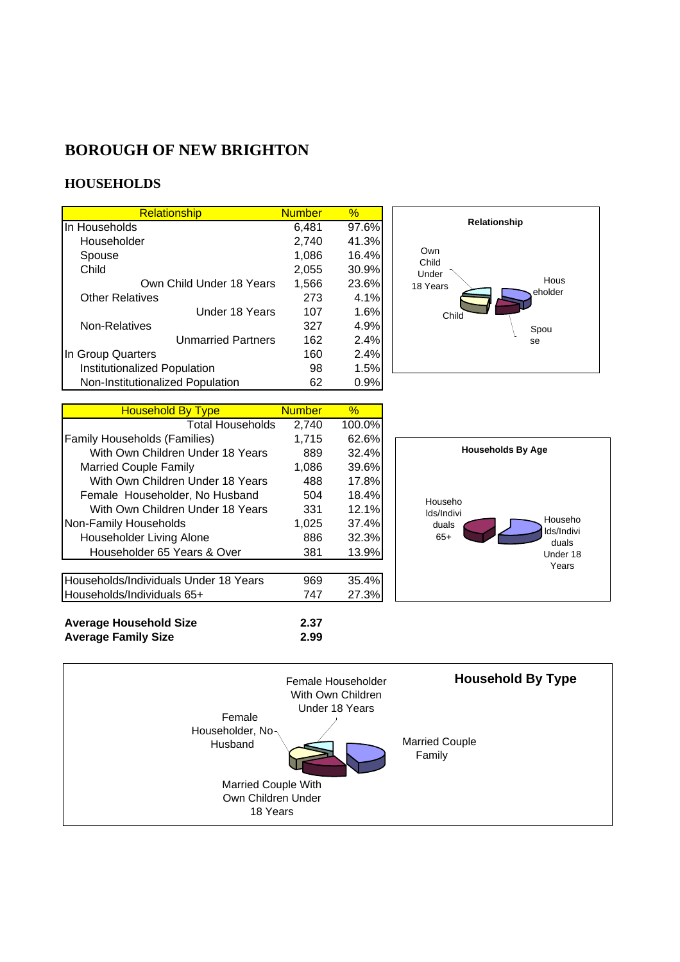#### **HOUSEHOLDS**

**Average Family Size** 

| <b>Relationship</b>              | <b>Number</b> | $\%$  |
|----------------------------------|---------------|-------|
| In Households                    | 6,481         | 97.6% |
| Householder                      | 2,740         | 41.3% |
| Spouse                           | 1,086         | 16.4% |
| Child                            | 2,055         | 30.9% |
| Own Child Under 18 Years         | 1,566         | 23.6% |
| <b>Other Relatives</b>           | 273           | 4.1%  |
| Under 18 Years                   | 107           | 1.6%  |
| Non-Relatives                    | 327           | 4.9%  |
| <b>Unmarried Partners</b>        | 162           | 2.4%  |
| In Group Quarters                | 160           | 2.4%  |
| Institutionalized Population     | 98            | 1.5%  |
| Non-Institutionalized Population | 62            | 0.9%  |

| <b>Household By Type</b>              | <b>Number</b> | $\%$   |
|---------------------------------------|---------------|--------|
| <b>Total Households</b>               | 2,740         | 100.0% |
| <b>Family Households (Families)</b>   | 1,715         | 62.6%  |
| With Own Children Under 18 Years      | 889           | 32.4%  |
| <b>Married Couple Family</b>          | 1,086         | 39.6%  |
| With Own Children Under 18 Years      | 488           | 17.8%  |
| Female Householder, No Husband        | 504           | 18.4%  |
| With Own Children Under 18 Years      | 331           | 12.1%  |
| Non-Family Households                 | 1,025         | 37.4%  |
| Householder Living Alone              | 886           | 32.3%  |
| Householder 65 Years & Over           | 381           | 13.9%  |
|                                       |               |        |
| Households/Individuals Under 18 Years | 969           | 35.4%  |
| Households/Individuals 65+            | 747           | 27.3%  |
|                                       |               |        |
| <b>Average Household Size</b>         | 2.37          |        |
| <b>Average Family Size</b>            | 2.99          |        |